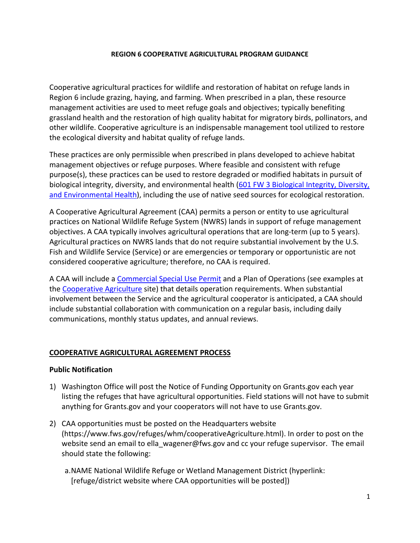#### **REGION 6 COOPERATIVE AGRICULTURAL PROGRAM GUIDANCE**

Cooperative agricultural practices for wildlife and restoration of habitat on refuge lands in Region 6 include grazing, haying, and farming. When prescribed in a plan, these resource management activities are used to meet refuge goals and objectives; typically benefiting grassland health and the restoration of high quality habitat for migratory birds, pollinators, and other wildlife. Cooperative agriculture is an indispensable management tool utilized to restore the ecological diversity and habitat quality of refuge lands.

These practices are only permissible when prescribed in plans developed to achieve habitat management objectives or refuge purposes. Where feasible and consistent with refuge purpose(s), these practices can be used to restore degraded or modified habitats in pursuit of biological integrity, diversity, and environmental health [\(601 FW 3 Biological Integrity, Diversity,](https://www.fws.gov/policy/601fw3.html)  [and Environmental Health\)](https://www.fws.gov/policy/601fw3.html), including the use of native seed sources for ecological restoration.

A Cooperative Agricultural Agreement (CAA) permits a person or entity to use agricultural practices on National Wildlife Refuge System (NWRS) lands in support of refuge management objectives. A CAA typically involves agricultural operations that are long-term (up to 5 years). Agricultural practices on NWRS lands that do not require substantial involvement by the U.S. Fish and Wildlife Service (Service) or are emergencies or temporary or opportunistic are not considered cooperative agriculture; therefore, no CAA is required.

A CAA will include a [Commercial Special Use Permit](https://www.fws.gov/refuges/visitors/permits.html) and a Plan of Operations (see examples at the [Cooperative Agriculture](https://fishnet.fws.doi.net/regions/6/nwrs/ghpt/SitePages/Home.aspx?InitialTabId=Ribbon%2EDocument&VisibilityContext=WSSTabPersistence) site) that details operation requirements. When substantial involvement between the Service and the agricultural cooperator is anticipated, a CAA should include substantial collaboration with communication on a regular basis, including daily communications, monthly status updates, and annual reviews.

## **COOPERATIVE AGRICULTURAL AGREEMENT PROCESS**

#### **Public Notification**

- 1) Washington Office will post the Notice of Funding Opportunity on Grants.gov each year listing the refuges that have agricultural opportunities. Field stations will not have to submit anything for Grants.gov and your cooperators will not have to use Grants.gov.
- 2) CAA opportunities must be posted on the Headquarters website (https://www.fws.gov/refuges/whm/cooperativeAgriculture.html). In order to post on the website send an email to ella wagener@fws.gov and cc your refuge supervisor. The email should state the following:
	- a.NAME National Wildlife Refuge or Wetland Management District (hyperlink: [refuge/district website where CAA opportunities will be posted])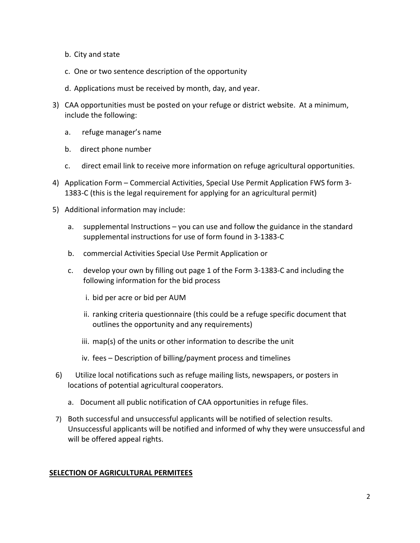- b. City and state
- c. One or two sentence description of the opportunity
- d. Applications must be received by month, day, and year.
- 3) CAA opportunities must be posted on your refuge or district website. At a minimum, include the following:
	- a. refuge manager's name
	- b. direct phone number
	- c. direct email link to receive more information on refuge agricultural opportunities.
- 4) Application Form Commercial Activities, Special Use Permit Application FWS form 3- 1383-C (this is the legal requirement for applying for an agricultural permit)
- 5) Additional information may include:
	- a. supplemental Instructions you can use and follow the guidance in the standard supplemental instructions for use of form found in 3-1383-C
	- b. commercial Activities Special Use Permit Application or
	- c. develop your own by filling out page 1 of the Form 3-1383-C and including the following information for the bid process
		- i. bid per acre or bid per AUM
		- ii. ranking criteria questionnaire (this could be a refuge specific document that outlines the opportunity and any requirements)
		- iii. map(s) of the units or other information to describe the unit
		- iv. fees Description of billing/payment process and timelines
- 6) Utilize local notifications such as refuge mailing lists, newspapers, or posters in locations of potential agricultural cooperators.
	- a. Document all public notification of CAA opportunities in refuge files.
- 7) Both successful and unsuccessful applicants will be notified of selection results. Unsuccessful applicants will be notified and informed of why they were unsuccessful and will be offered appeal rights.

## **SELECTION OF AGRICULTURAL PERMITEES**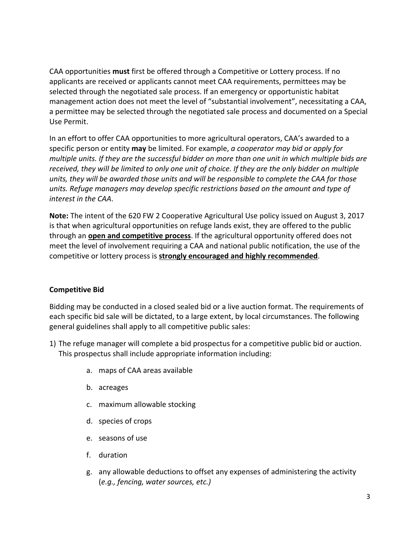CAA opportunities **must** first be offered through a Competitive or Lottery process. If no applicants are received or applicants cannot meet CAA requirements, permittees may be selected through the negotiated sale process. If an emergency or opportunistic habitat management action does not meet the level of "substantial involvement", necessitating a CAA, a permittee may be selected through the negotiated sale process and documented on a Special Use Permit.

In an effort to offer CAA opportunities to more agricultural operators, CAA's awarded to a specific person or entity **may** be limited. For example, *a cooperator may bid or apply for multiple units. If they are the successful bidder on more than one unit in which multiple bids are received, they will be limited to only one unit of choice. If they are the only bidder on multiple units, they will be awarded those units and will be responsible to complete the CAA for those units. Refuge managers may develop specific restrictions based on the amount and type of interest in the CAA*.

**Note:** The intent of the 620 FW 2 Cooperative Agricultural Use policy issued on August 3, 2017 is that when agricultural opportunities on refuge lands exist, they are offered to the public through an **open and competitive process**. If the agricultural opportunity offered does not meet the level of involvement requiring a CAA and national public notification, the use of the competitive or lottery process is **strongly encouraged and highly recommended**.

#### **Competitive Bid**

Bidding may be conducted in a closed sealed bid or a live auction format. The requirements of each specific bid sale will be dictated, to a large extent, by local circumstances. The following general guidelines shall apply to all competitive public sales:

- 1) The refuge manager will complete a bid prospectus for a competitive public bid or auction. This prospectus shall include appropriate information including:
	- a. maps of CAA areas available
	- b. acreages
	- c. maximum allowable stocking
	- d. species of crops
	- e. seasons of use
	- f. duration
	- g. any allowable deductions to offset any expenses of administering the activity (*e.g., fencing, water sources, etc.)*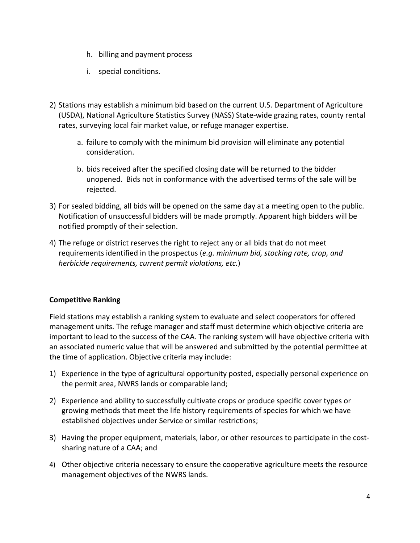- h. billing and payment process
- i. special conditions.
- 2) Stations may establish a minimum bid based on the current U.S. Department of Agriculture (USDA), National Agriculture Statistics Survey (NASS) State-wide grazing rates, county rental rates, surveying local fair market value, or refuge manager expertise.
	- a. failure to comply with the minimum bid provision will eliminate any potential consideration.
	- b. bids received after the specified closing date will be returned to the bidder unopened. Bids not in conformance with the advertised terms of the sale will be rejected.
- 3) For sealed bidding, all bids will be opened on the same day at a meeting open to the public. Notification of unsuccessful bidders will be made promptly. Apparent high bidders will be notified promptly of their selection.
- 4) The refuge or district reserves the right to reject any or all bids that do not meet requirements identified in the prospectus (*e.g. minimum bid, stocking rate, crop, and herbicide requirements, current permit violations, etc.*)

## **Competitive Ranking**

Field stations may establish a ranking system to evaluate and select cooperators for offered management units. The refuge manager and staff must determine which objective criteria are important to lead to the success of the CAA. The ranking system will have objective criteria with an associated numeric value that will be answered and submitted by the potential permittee at the time of application. Objective criteria may include:

- 1) Experience in the type of agricultural opportunity posted, especially personal experience on the permit area, NWRS lands or comparable land;
- 2) Experience and ability to successfully cultivate crops or produce specific cover types or growing methods that meet the life history requirements of species for which we have established objectives under Service or similar restrictions;
- 3) Having the proper equipment, materials, labor, or other resources to participate in the costsharing nature of a CAA; and
- 4) Other objective criteria necessary to ensure the cooperative agriculture meets the resource management objectives of the NWRS lands.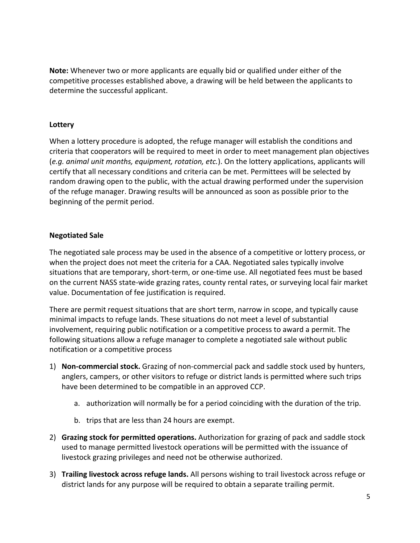**Note:** Whenever two or more applicants are equally bid or qualified under either of the competitive processes established above, a drawing will be held between the applicants to determine the successful applicant.

### **Lottery**

When a lottery procedure is adopted, the refuge manager will establish the conditions and criteria that cooperators will be required to meet in order to meet management plan objectives (*e.g. animal unit months, equipment, rotation, etc.*). On the lottery applications, applicants will certify that all necessary conditions and criteria can be met. Permittees will be selected by random drawing open to the public, with the actual drawing performed under the supervision of the refuge manager. Drawing results will be announced as soon as possible prior to the beginning of the permit period.

#### **Negotiated Sale**

The negotiated sale process may be used in the absence of a competitive or lottery process, or when the project does not meet the criteria for a CAA. Negotiated sales typically involve situations that are temporary, short-term, or one-time use. All negotiated fees must be based on the current NASS state-wide grazing rates, county rental rates, or surveying local fair market value. Documentation of fee justification is required.

There are permit request situations that are short term, narrow in scope, and typically cause minimal impacts to refuge lands. These situations do not meet a level of substantial involvement, requiring public notification or a competitive process to award a permit. The following situations allow a refuge manager to complete a negotiated sale without public notification or a competitive process

- 1) **Non-commercial stock.** Grazing of non-commercial pack and saddle stock used by hunters, anglers, campers, or other visitors to refuge or district lands is permitted where such trips have been determined to be compatible in an approved CCP.
	- a. authorization will normally be for a period coinciding with the duration of the trip.
	- b. trips that are less than 24 hours are exempt.
- 2) **Grazing stock for permitted operations.** Authorization for grazing of pack and saddle stock used to manage permitted livestock operations will be permitted with the issuance of livestock grazing privileges and need not be otherwise authorized.
- 3) **Trailing livestock across refuge lands.** All persons wishing to trail livestock across refuge or district lands for any purpose will be required to obtain a separate trailing permit.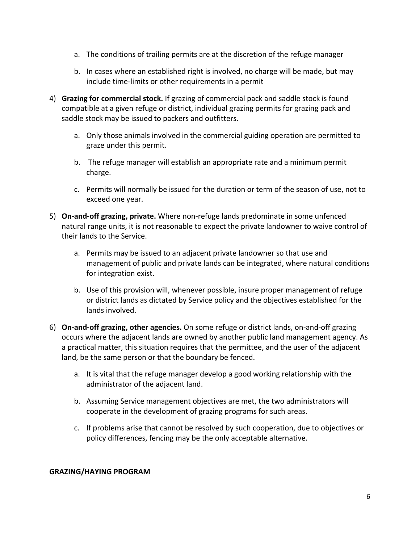- a. The conditions of trailing permits are at the discretion of the refuge manager
- b. In cases where an established right is involved, no charge will be made, but may include time-limits or other requirements in a permit
- 4) **Grazing for commercial stock.** If grazing of commercial pack and saddle stock is found compatible at a given refuge or district, individual grazing permits for grazing pack and saddle stock may be issued to packers and outfitters.
	- a. Only those animals involved in the commercial guiding operation are permitted to graze under this permit.
	- b. The refuge manager will establish an appropriate rate and a minimum permit charge.
	- c. Permits will normally be issued for the duration or term of the season of use, not to exceed one year.
- 5) **On-and-off grazing, private.** Where non-refuge lands predominate in some unfenced natural range units, it is not reasonable to expect the private landowner to waive control of their lands to the Service.
	- a. Permits may be issued to an adjacent private landowner so that use and management of public and private lands can be integrated, where natural conditions for integration exist.
	- b. Use of this provision will, whenever possible, insure proper management of refuge or district lands as dictated by Service policy and the objectives established for the lands involved.
- 6) **On-and-off grazing, other agencies.** On some refuge or district lands, on-and-off grazing occurs where the adjacent lands are owned by another public land management agency. As a practical matter, this situation requires that the permittee, and the user of the adjacent land, be the same person or that the boundary be fenced.
	- a. It is vital that the refuge manager develop a good working relationship with the administrator of the adjacent land.
	- b. Assuming Service management objectives are met, the two administrators will cooperate in the development of grazing programs for such areas.
	- c. If problems arise that cannot be resolved by such cooperation, due to objectives or policy differences, fencing may be the only acceptable alternative.

## **GRAZING/HAYING PROGRAM**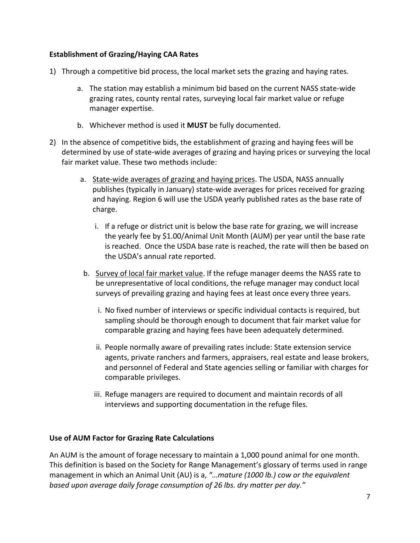## **Establishment of Grazing/Haying CAA Rates**

- 1) Through a competitive bid process, the local market sets the grazing and haying rates.
	- a. The station may establish a minimum bid based on the current NASS state-wide grazing rates, county rental rates, surveying local fair market value or refuge manager expertise.
	- b. Whichever method is used it **MUST** be fully documented.
- 2) In the absence of competitive bids, the establishment of grazing and haying fees will be determined by use of state-wide averages of grazing and haying prices or surveying the local fair market value. These two methods include:
	- a. State-wide averages of grazing and haying prices. The USDA, NASS annually publishes (typically in January) state-wide averages for prices received for grazing and haying. Region 6 will use the USDA yearly published rates as the base rate of charge.
		- i. If a refuge or district unit is below the base rate for grazing, we will increase the yearly fee by \$1.00/Animal Unit Month (AUM) per year until the base rate is reached. Once the USDA base rate is reached, the rate will then be based on the USDA's annual rate reported.
	- b. Survey of local fair market value. If the refuge manager deems the NASS rate to be unrepresentative of local conditions, the refuge manager may conduct local surveys of prevailing grazing and haying fees at least once every three years.
		- i. No fixed number of interviews or specific individual contacts is required, but sampling should be thorough enough to document that fair market value for comparable grazing and haying fees have been adequately determined.
		- ii. People normally aware of prevailing rates include: State extension service agents, private ranchers and farmers, appraisers, real estate and lease brokers, and personnel of Federal and State agencies selling or familiar with charges for comparable privileges.
		- iii. Refuge managers are required to document and maintain records of all interviews and supporting documentation in the refuge files.

#### **Use of AUM Factor for Grazing Rate Calculations**

An AUM is the amount of forage necessary to maintain a 1,000 pound animal for one month. This definition is based on the Society for Range Management's glossary of terms used in range management in which an Animal Unit (AU) is a, *"…mature (1000 lb.) cow or the equivalent based upon average daily forage consumption of 26 lbs. dry matter per day."*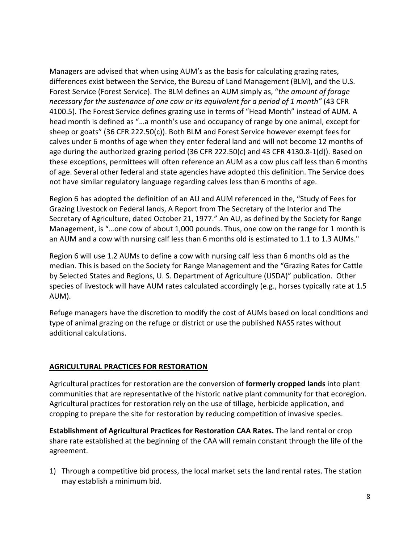Managers are advised that when using AUM's as the basis for calculating grazing rates, differences exist between the Service, the Bureau of Land Management (BLM), and the U.S. Forest Service (Forest Service). The BLM defines an AUM simply as, "*the amount of forage necessary for the sustenance of one cow or its equivalent for a period of 1 month"* (43 CFR 4100.5). The Forest Service defines grazing use in terms of "Head Month" instead of AUM. A head month is defined as "…a month's use and occupancy of range by one animal, except for sheep or goats" (36 CFR 222.50(c)). Both BLM and Forest Service however exempt fees for calves under 6 months of age when they enter federal land and will not become 12 months of age during the authorized grazing period (36 CFR 222.50(c) and 43 CFR 4130.8-1(d)). Based on these exceptions, permittees will often reference an AUM as a cow plus calf less than 6 months of age. Several other federal and state agencies have adopted this definition. The Service does not have similar regulatory language regarding calves less than 6 months of age.

Region 6 has adopted the definition of an AU and AUM referenced in the, "Study of Fees for Grazing Livestock on Federal lands, A Report from The Secretary of the Interior and The Secretary of Agriculture, dated October 21, 1977." An AU, as defined by the Society for Range Management, is "…one cow of about 1,000 pounds. Thus, one cow on the range for 1 month is an AUM and a cow with nursing calf less than 6 months old is estimated to 1.1 to 1.3 AUMs."

Region 6 will use 1.2 AUMs to define a cow with nursing calf less than 6 months old as the median. This is based on the Society for Range Management and the "Grazing Rates for Cattle by Selected States and Regions, U. S. Department of Agriculture (USDA)" publication. Other species of livestock will have AUM rates calculated accordingly (e.g., horses typically rate at 1.5 AUM).

Refuge managers have the discretion to modify the cost of AUMs based on local conditions and type of animal grazing on the refuge or district or use the published NASS rates without additional calculations.

## **AGRICULTURAL PRACTICES FOR RESTORATION**

Agricultural practices for restoration are the conversion of **formerly cropped lands** into plant communities that are representative of the historic native plant community for that ecoregion. Agricultural practices for restoration rely on the use of tillage, herbicide application, and cropping to prepare the site for restoration by reducing competition of invasive species.

**Establishment of Agricultural Practices for Restoration CAA Rates.** The land rental or crop share rate established at the beginning of the CAA will remain constant through the life of the agreement.

1) Through a competitive bid process, the local market sets the land rental rates. The station may establish a minimum bid.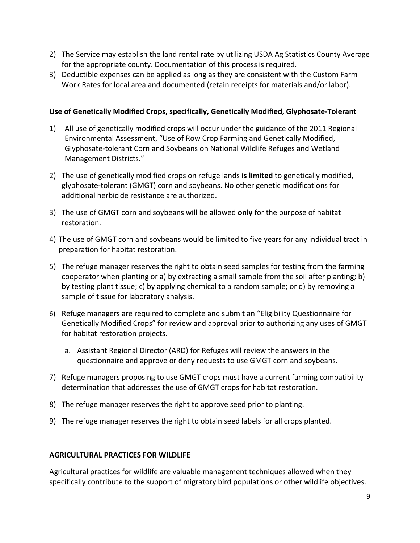- 2) The Service may establish the land rental rate by utilizing USDA Ag Statistics County Average for the appropriate county. Documentation of this process is required.
- 3) Deductible expenses can be applied as long as they are consistent with the Custom Farm Work Rates for local area and documented (retain receipts for materials and/or labor).

### **Use of Genetically Modified Crops, specifically, Genetically Modified, Glyphosate-Tolerant**

- 1) All use of genetically modified crops will occur under the guidance of the 2011 Regional Environmental Assessment, "Use of Row Crop Farming and Genetically Modified, Glyphosate-tolerant Corn and Soybeans on National Wildlife Refuges and Wetland Management Districts."
- 2) The use of genetically modified crops on refuge lands **is limited** to genetically modified, glyphosate-tolerant (GMGT) corn and soybeans. No other genetic modifications for additional herbicide resistance are authorized.
- 3) The use of GMGT corn and soybeans will be allowed **only** for the purpose of habitat restoration.
- 4) The use of GMGT corn and soybeans would be limited to five years for any individual tract in preparation for habitat restoration.
- 5) The refuge manager reserves the right to obtain seed samples for testing from the farming cooperator when planting or a) by extracting a small sample from the soil after planting; b) by testing plant tissue; c) by applying chemical to a random sample; or d) by removing a sample of tissue for laboratory analysis.
- 6) Refuge managers are required to complete and submit an "Eligibility Questionnaire for Genetically Modified Crops" for review and approval prior to authorizing any uses of GMGT for habitat restoration projects.
	- a. Assistant Regional Director (ARD) for Refuges will review the answers in the questionnaire and approve or deny requests to use GMGT corn and soybeans.
- 7) Refuge managers proposing to use GMGT crops must have a current farming compatibility determination that addresses the use of GMGT crops for habitat restoration.
- 8) The refuge manager reserves the right to approve seed prior to planting.
- 9) The refuge manager reserves the right to obtain seed labels for all crops planted.

#### **AGRICULTURAL PRACTICES FOR WILDLIFE**

Agricultural practices for wildlife are valuable management techniques allowed when they specifically contribute to the support of migratory bird populations or other wildlife objectives.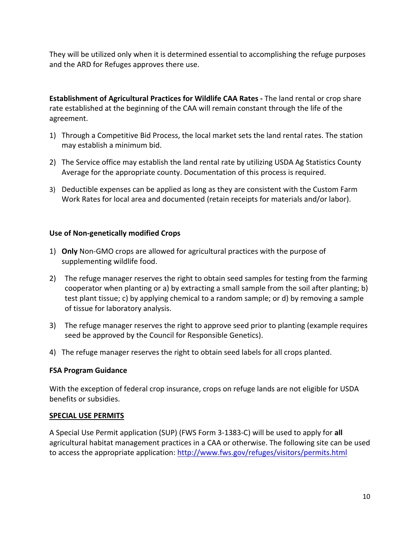They will be utilized only when it is determined essential to accomplishing the refuge purposes and the ARD for Refuges approves there use.

**Establishment of Agricultural Practices for Wildlife CAA Rates -** The land rental or crop share rate established at the beginning of the CAA will remain constant through the life of the agreement.

- 1) Through a Competitive Bid Process, the local market sets the land rental rates. The station may establish a minimum bid.
- 2) The Service office may establish the land rental rate by utilizing USDA Ag Statistics County Average for the appropriate county. Documentation of this process is required.
- 3) Deductible expenses can be applied as long as they are consistent with the Custom Farm Work Rates for local area and documented (retain receipts for materials and/or labor).

## **Use of Non-genetically modified Crops**

- 1) **Only** Non-GMO crops are allowed for agricultural practices with the purpose of supplementing wildlife food.
- 2) The refuge manager reserves the right to obtain seed samples for testing from the farming cooperator when planting or a) by extracting a small sample from the soil after planting; b) test plant tissue; c) by applying chemical to a random sample; or d) by removing a sample of tissue for laboratory analysis.
- 3) The refuge manager reserves the right to approve seed prior to planting (example requires seed be approved by the Council for Responsible Genetics).
- 4) The refuge manager reserves the right to obtain seed labels for all crops planted.

#### **FSA Program Guidance**

With the exception of federal crop insurance, crops on refuge lands are not eligible for USDA benefits or subsidies.

#### **SPECIAL USE PERMITS**

A Special Use Permit application (SUP) (FWS Form 3-1383-C) will be used to apply for **all** agricultural habitat management practices in a CAA or otherwise. The following site can be used to access the appropriate application:<http://www.fws.gov/refuges/visitors/permits.html>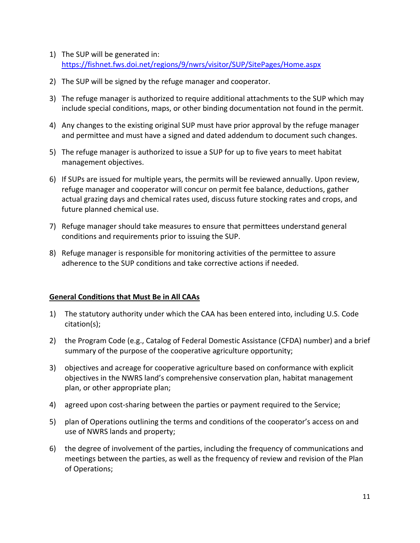- 1) The SUP will be generated in: <https://fishnet.fws.doi.net/regions/9/nwrs/visitor/SUP/SitePages/Home.aspx>
- 2) The SUP will be signed by the refuge manager and cooperator.
- 3) The refuge manager is authorized to require additional attachments to the SUP which may include special conditions, maps, or other binding documentation not found in the permit.
- 4) Any changes to the existing original SUP must have prior approval by the refuge manager and permittee and must have a signed and dated addendum to document such changes.
- 5) The refuge manager is authorized to issue a SUP for up to five years to meet habitat management objectives.
- 6) If SUPs are issued for multiple years, the permits will be reviewed annually. Upon review, refuge manager and cooperator will concur on permit fee balance, deductions, gather actual grazing days and chemical rates used, discuss future stocking rates and crops, and future planned chemical use.
- 7) Refuge manager should take measures to ensure that permittees understand general conditions and requirements prior to issuing the SUP.
- 8) Refuge manager is responsible for monitoring activities of the permittee to assure adherence to the SUP conditions and take corrective actions if needed.

## **General Conditions that Must Be in All CAAs**

- 1) The statutory authority under which the CAA has been entered into, including U.S. Code citation(s);
- 2) the Program Code (e.g., Catalog of Federal Domestic Assistance (CFDA) number) and a brief summary of the purpose of the cooperative agriculture opportunity;
- 3) objectives and acreage for cooperative agriculture based on conformance with explicit objectives in the NWRS land's comprehensive conservation plan, habitat management plan, or other appropriate plan;
- 4) agreed upon cost-sharing between the parties or payment required to the Service;
- 5) plan of Operations outlining the terms and conditions of the cooperator's access on and use of NWRS lands and property;
- 6) the degree of involvement of the parties, including the frequency of communications and meetings between the parties, as well as the frequency of review and revision of the Plan of Operations;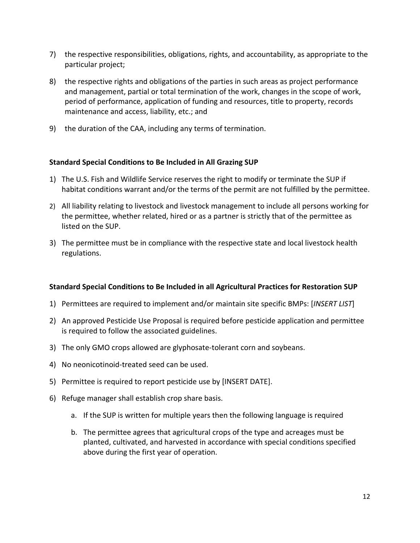- 7) the respective responsibilities, obligations, rights, and accountability, as appropriate to the particular project;
- 8) the respective rights and obligations of the parties in such areas as project performance and management, partial or total termination of the work, changes in the scope of work, period of performance, application of funding and resources, title to property, records maintenance and access, liability, etc.; and
- 9) the duration of the CAA, including any terms of termination.

#### **Standard Special Conditions to Be Included in All Grazing SUP**

- 1) The U.S. Fish and Wildlife Service reserves the right to modify or terminate the SUP if habitat conditions warrant and/or the terms of the permit are not fulfilled by the permittee.
- 2) All liability relating to livestock and livestock management to include all persons working for the permittee, whether related, hired or as a partner is strictly that of the permittee as listed on the SUP.
- 3) The permittee must be in compliance with the respective state and local livestock health regulations.

## **Standard Special Conditions to Be Included in all Agricultural Practices for Restoration SUP**

- 1) Permittees are required to implement and/or maintain site specific BMPs: [*INSERT LIST*]
- 2) An approved Pesticide Use Proposal is required before pesticide application and permittee is required to follow the associated guidelines.
- 3) The only GMO crops allowed are glyphosate-tolerant corn and soybeans.
- 4) No neonicotinoid-treated seed can be used.
- 5) Permittee is required to report pesticide use by [INSERT DATE].
- 6) Refuge manager shall establish crop share basis.
	- a. If the SUP is written for multiple years then the following language is required
	- b. The permittee agrees that agricultural crops of the type and acreages must be planted, cultivated, and harvested in accordance with special conditions specified above during the first year of operation.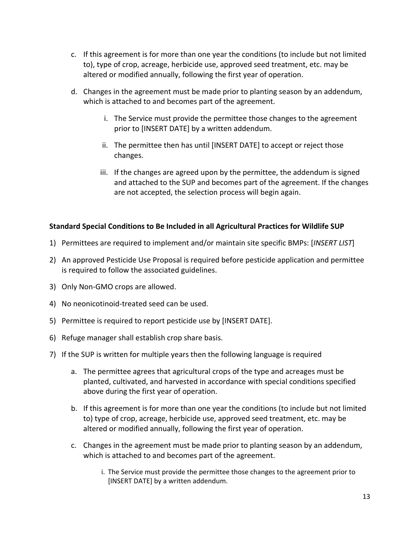- c. If this agreement is for more than one year the conditions (to include but not limited to), type of crop, acreage, herbicide use, approved seed treatment, etc. may be altered or modified annually, following the first year of operation.
- d. Changes in the agreement must be made prior to planting season by an addendum, which is attached to and becomes part of the agreement.
	- i. The Service must provide the permittee those changes to the agreement prior to [INSERT DATE] by a written addendum.
	- ii. The permittee then has until [INSERT DATE] to accept or reject those changes.
	- iii. If the changes are agreed upon by the permittee, the addendum is signed and attached to the SUP and becomes part of the agreement. If the changes are not accepted, the selection process will begin again.

## **Standard Special Conditions to Be Included in all Agricultural Practices for Wildlife SUP**

- 1) Permittees are required to implement and/or maintain site specific BMPs: [*INSERT LIST*]
- 2) An approved Pesticide Use Proposal is required before pesticide application and permittee is required to follow the associated guidelines.
- 3) Only Non-GMO crops are allowed.
- 4) No neonicotinoid-treated seed can be used.
- 5) Permittee is required to report pesticide use by [INSERT DATE].
- 6) Refuge manager shall establish crop share basis.
- 7) If the SUP is written for multiple years then the following language is required
	- a. The permittee agrees that agricultural crops of the type and acreages must be planted, cultivated, and harvested in accordance with special conditions specified above during the first year of operation.
	- b. If this agreement is for more than one year the conditions (to include but not limited to) type of crop, acreage, herbicide use, approved seed treatment, etc. may be altered or modified annually, following the first year of operation.
	- c. Changes in the agreement must be made prior to planting season by an addendum, which is attached to and becomes part of the agreement.
		- i. The Service must provide the permittee those changes to the agreement prior to [INSERT DATE] by a written addendum.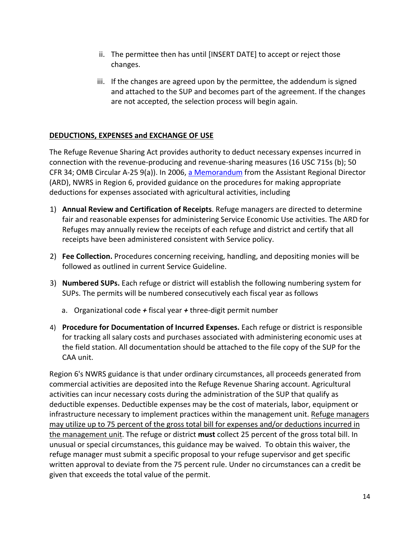- ii. The permittee then has until [INSERT DATE] to accept or reject those changes.
- iii. If the changes are agreed upon by the permittee, the addendum is signed and attached to the SUP and becomes part of the agreement. If the changes are not accepted, the selection process will begin again.

# **DEDUCTIONS, EXPENSES and EXCHANGE OF USE**

The Refuge Revenue Sharing Act provides authority to deduct necessary expenses incurred in connection with the revenue-producing and revenue-sharing measures (16 USC 715s (b); 50 CFR 34; OMB Circular A-25 9(a)). In 2006, [a Memorandum](https://fishnet.fws.doi.net/regions/6/nwrs/ghpt/Shared%20Documents/Miscellaneous%20Receipts%20Memo.pdf) from the Assistant Regional Director (ARD), NWRS in Region 6, provided guidance on the procedures for making appropriate deductions for expenses associated with agricultural activities, including

- 1) **Annual Review and Certification of Receipts**. Refuge managers are directed to determine fair and reasonable expenses for administering Service Economic Use activities. The ARD for Refuges may annually review the receipts of each refuge and district and certify that all receipts have been administered consistent with Service policy.
- 2) **Fee Collection.** Procedures concerning receiving, handling, and depositing monies will be followed as outlined in current Service Guideline.
- 3) **Numbered SUPs.** Each refuge or district will establish the following numbering system for SUPs. The permits will be numbered consecutively each fiscal year as follows
	- a. Organizational code *+* fiscal year *+* three-digit permit number
- 4) **Procedure for Documentation of Incurred Expenses.** Each refuge or district is responsible for tracking all salary costs and purchases associated with administering economic uses at the field station. All documentation should be attached to the file copy of the SUP for the CAA unit.

Region 6's NWRS guidance is that under ordinary circumstances, all proceeds generated from commercial activities are deposited into the Refuge Revenue Sharing account. Agricultural activities can incur necessary costs during the administration of the SUP that qualify as deductible expenses. Deductible expenses may be the cost of materials, labor, equipment or infrastructure necessary to implement practices within the management unit. Refuge managers may utilize up to 75 percent of the gross total bill for expenses and/or deductions incurred in the management unit. The refuge or district **must** collect 25 percent of the gross total bill. In unusual or special circumstances, this guidance may be waived. To obtain this waiver, the refuge manager must submit a specific proposal to your refuge supervisor and get specific written approval to deviate from the 75 percent rule. Under no circumstances can a credit be given that exceeds the total value of the permit.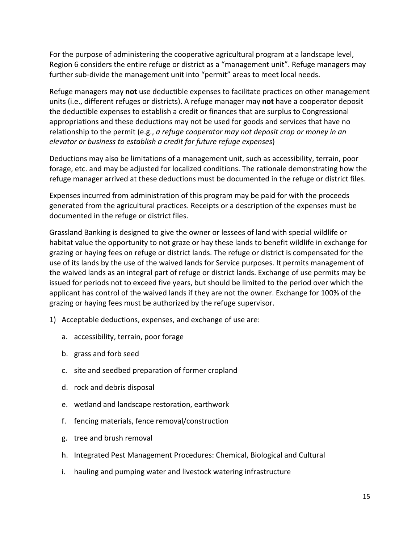For the purpose of administering the cooperative agricultural program at a landscape level, Region 6 considers the entire refuge or district as a "management unit". Refuge managers may further sub-divide the management unit into "permit" areas to meet local needs.

Refuge managers may **not** use deductible expenses to facilitate practices on other management units (i.e., different refuges or districts). A refuge manager may **not** have a cooperator deposit the deductible expenses to establish a credit or finances that are surplus to Congressional appropriations and these deductions may not be used for goods and services that have no relationship to the permit (e.g., *a refuge cooperator may not deposit crop or money in an elevator or business to establish a credit for future refuge expenses*)

Deductions may also be limitations of a management unit, such as accessibility, terrain, poor forage, etc. and may be adjusted for localized conditions. The rationale demonstrating how the refuge manager arrived at these deductions must be documented in the refuge or district files.

Expenses incurred from administration of this program may be paid for with the proceeds generated from the agricultural practices. Receipts or a description of the expenses must be documented in the refuge or district files.

Grassland Banking is designed to give the owner or lessees of land with special wildlife or habitat value the opportunity to not graze or hay these lands to benefit wildlife in exchange for grazing or haying fees on refuge or district lands. The refuge or district is compensated for the use of its lands by the use of the waived lands for Service purposes. It permits management of the waived lands as an integral part of refuge or district lands. Exchange of use permits may be issued for periods not to exceed five years, but should be limited to the period over which the applicant has control of the waived lands if they are not the owner. Exchange for 100% of the grazing or haying fees must be authorized by the refuge supervisor.

- 1) Acceptable deductions, expenses, and exchange of use are:
	- a. accessibility, terrain, poor forage
	- b. grass and forb seed
	- c. site and seedbed preparation of former cropland
	- d. rock and debris disposal
	- e. wetland and landscape restoration, earthwork
	- f. fencing materials, fence removal/construction
	- g. tree and brush removal
	- h. Integrated Pest Management Procedures: Chemical, Biological and Cultural
	- i. hauling and pumping water and livestock watering infrastructure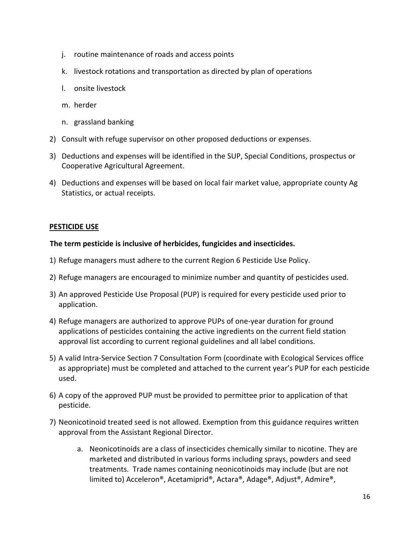- j. routine maintenance of roads and access points
- k. livestock rotations and transportation as directed by plan of operations
- l. onsite livestock
- m. herder
- n. grassland banking
- 2) Consult with refuge supervisor on other proposed deductions or expenses.
- 3) Deductions and expenses will be identified in the SUP, Special Conditions, prospectus or Cooperative Agricultural Agreement.
- 4) Deductions and expenses will be based on local fair market value, appropriate county Ag Statistics, or actual receipts.

#### **PESTICIDE USE**

#### **The term pesticide is inclusive of herbicides, fungicides and insecticides.**

- 1) Refuge managers must adhere to the current Region 6 Pesticide Use Policy.
- 2) Refuge managers are encouraged to minimize number and quantity of pesticides used.
- 3) An approved Pesticide Use Proposal (PUP) is required for every pesticide used prior to application.
- 4) Refuge managers are authorized to approve PUPs of one-year duration for ground applications of pesticides containing the active ingredients on the current field station approval list according to current regional guidelines and all label conditions.
- 5) A valid Intra-Service Section 7 Consultation Form (coordinate with Ecological Services office as appropriate) must be completed and attached to the current year's PUP for each pesticide used.
- 6) A copy of the approved PUP must be provided to permittee prior to application of that pesticide.
- 7) Neonicotinoid treated seed is not allowed. Exemption from this guidance requires written approval from the Assistant Regional Director.
	- a. Neonicotinoids are a class of insecticides chemically similar to nicotine. They are marketed and distributed in various forms including sprays, powders and seed treatments. Trade names containing neonicotinoids may include (but are not limited to) Acceleron®, Acetamiprid®, Actara®, Adage®, Adjust®, Admire®,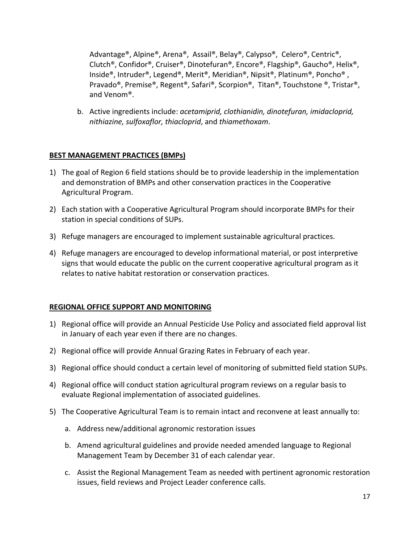Advantage®, Alpine®, Arena®, Assail®, Belay®, Calypso®, Celero®, Centric®, Clutch®, Confidor®, Cruiser®, Dinotefuran®, Encore®, Flagship®, Gaucho®, Helix®, Inside®, Intruder®, Legend®, Merit®, Meridian®, Nipsit®, Platinum®, Poncho® , Pravado®, Premise®, Regent®, Safari®, Scorpion®, Titan®, Touchstone ®, Tristar®, and Venom®.

b. Active ingredients include: *acetamiprid, clothianidin, dinotefuran, imidacloprid, nithiazine, sulfoxaflor, thiacloprid*, and *thiamethoxam*.

## **BEST MANAGEMENT PRACTICES (BMPs)**

- 1) The goal of Region 6 field stations should be to provide leadership in the implementation and demonstration of BMPs and other conservation practices in the Cooperative Agricultural Program.
- 2) Each station with a Cooperative Agricultural Program should incorporate BMPs for their station in special conditions of SUPs.
- 3) Refuge managers are encouraged to implement sustainable agricultural practices.
- 4) Refuge managers are encouraged to develop informational material, or post interpretive signs that would educate the public on the current cooperative agricultural program as it relates to native habitat restoration or conservation practices.

## **REGIONAL OFFICE SUPPORT AND MONITORING**

- 1) Regional office will provide an Annual Pesticide Use Policy and associated field approval list in January of each year even if there are no changes.
- 2) Regional office will provide Annual Grazing Rates in February of each year.
- 3) Regional office should conduct a certain level of monitoring of submitted field station SUPs.
- 4) Regional office will conduct station agricultural program reviews on a regular basis to evaluate Regional implementation of associated guidelines.
- 5) The Cooperative Agricultural Team is to remain intact and reconvene at least annually to:
	- a. Address new/additional agronomic restoration issues
	- b. Amend agricultural guidelines and provide needed amended language to Regional Management Team by December 31 of each calendar year.
	- c. Assist the Regional Management Team as needed with pertinent agronomic restoration issues, field reviews and Project Leader conference calls.